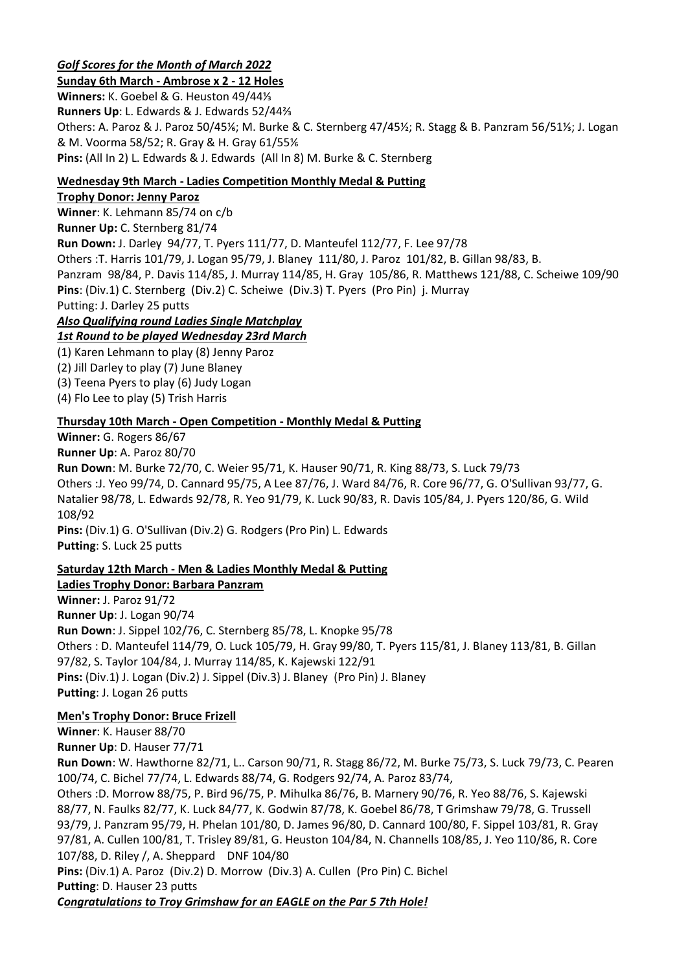# *Golf Scores for the Month of March 2022*

**Sunday 6th March - Ambrose x 2 - 12 Holes Winners:** K. Goebel & G. Heuston 49/44⅓ **Runners Up**: L. Edwards & J. Edwards 52/44⅔ Others: A. Paroz & J. Paroz 50/45⅙; M. Burke & C. Sternberg 47/45½; R. Stagg & B. Panzram 56/51⅓; J. Logan & M. Voorma 58/52; R. Gray & H. Gray 61/55⅙ **Pins:** (All In 2) L. Edwards & J. Edwards (All In 8) M. Burke & C. Sternberg

### **Wednesday 9th March - Ladies Competition Monthly Medal & Putting**

### **Trophy Donor: Jenny Paroz**

**Winner**: K. Lehmann 85/74 on c/b **Runner Up:** C. Sternberg 81/74 **Run Down:** J. Darley 94/77, T. Pyers 111/77, D. Manteufel 112/77, F. Lee 97/78 Others :T. Harris 101/79, J. Logan 95/79, J. Blaney 111/80, J. Paroz 101/82, B. Gillan 98/83, B. Panzram 98/84, P. Davis 114/85, J. Murray 114/85, H. Gray 105/86, R. Matthews 121/88, C. Scheiwe 109/90 **Pins**: (Div.1) C. Sternberg (Div.2) C. Scheiwe (Div.3) T. Pyers (Pro Pin) j. Murray Putting: J. Darley 25 putts *Also Qualifying round Ladies Single Matchplay*

*1st Round to be played Wednesday 23rd March*

(1) Karen Lehmann to play (8) Jenny Paroz

(2) Jill Darley to play (7) June Blaney

(3) Teena Pyers to play (6) Judy Logan

(4) Flo Lee to play (5) Trish Harris

### **Thursday 10th March - Open Competition - Monthly Medal & Putting**

**Winner:** G. Rogers 86/67

**Runner Up**: A. Paroz 80/70

**Run Down**: M. Burke 72/70, C. Weier 95/71, K. Hauser 90/71, R. King 88/73, S. Luck 79/73 Others :J. Yeo 99/74, D. Cannard 95/75, A Lee 87/76, J. Ward 84/76, R. Core 96/77, G. O'Sullivan 93/77, G. Natalier 98/78, L. Edwards 92/78, R. Yeo 91/79, K. Luck 90/83, R. Davis 105/84, J. Pyers 120/86, G. Wild 108/92

**Pins:** (Div.1) G. O'Sullivan (Div.2) G. Rodgers (Pro Pin) L. Edwards **Putting**: S. Luck 25 putts

### **Saturday 12th March - Men & Ladies Monthly Medal & Putting**

# **Ladies Trophy Donor: Barbara Panzram**

**Winner:** J. Paroz 91/72 **Runner Up**: J. Logan 90/74 **Run Down**: J. Sippel 102/76, C. Sternberg 85/78, L. Knopke 95/78 Others : D. Manteufel 114/79, O. Luck 105/79, H. Gray 99/80, T. Pyers 115/81, J. Blaney 113/81, B. Gillan 97/82, S. Taylor 104/84, J. Murray 114/85, K. Kajewski 122/91 **Pins:** (Div.1) J. Logan (Div.2) J. Sippel (Div.3) J. Blaney (Pro Pin) J. Blaney **Putting**: J. Logan 26 putts

### **Men's Trophy Donor: Bruce Frizell**

**Winner**: K. Hauser 88/70 **Runner Up**: D. Hauser 77/71 **Run Down**: W. Hawthorne 82/71, L.. Carson 90/71, R. Stagg 86/72, M. Burke 75/73, S. Luck 79/73, C. Pearen 100/74, C. Bichel 77/74, L. Edwards 88/74, G. Rodgers 92/74, A. Paroz 83/74, Others :D. Morrow 88/75, P. Bird 96/75, P. Mihulka 86/76, B. Marnery 90/76, R. Yeo 88/76, S. Kajewski 88/77, N. Faulks 82/77, K. Luck 84/77, K. Godwin 87/78, K. Goebel 86/78, T Grimshaw 79/78, G. Trussell 93/79, J. Panzram 95/79, H. Phelan 101/80, D. James 96/80, D. Cannard 100/80, F. Sippel 103/81, R. Gray 97/81, A. Cullen 100/81, T. Trisley 89/81, G. Heuston 104/84, N. Channells 108/85, J. Yeo 110/86, R. Core 107/88, D. Riley /, A. Sheppard DNF 104/80 **Pins:** (Div.1) A. Paroz (Div.2) D. Morrow (Div.3) A. Cullen (Pro Pin) C. Bichel **Putting**: D. Hauser 23 putts *Congratulations to Troy Grimshaw for an EAGLE on the Par 5 7th Hole!*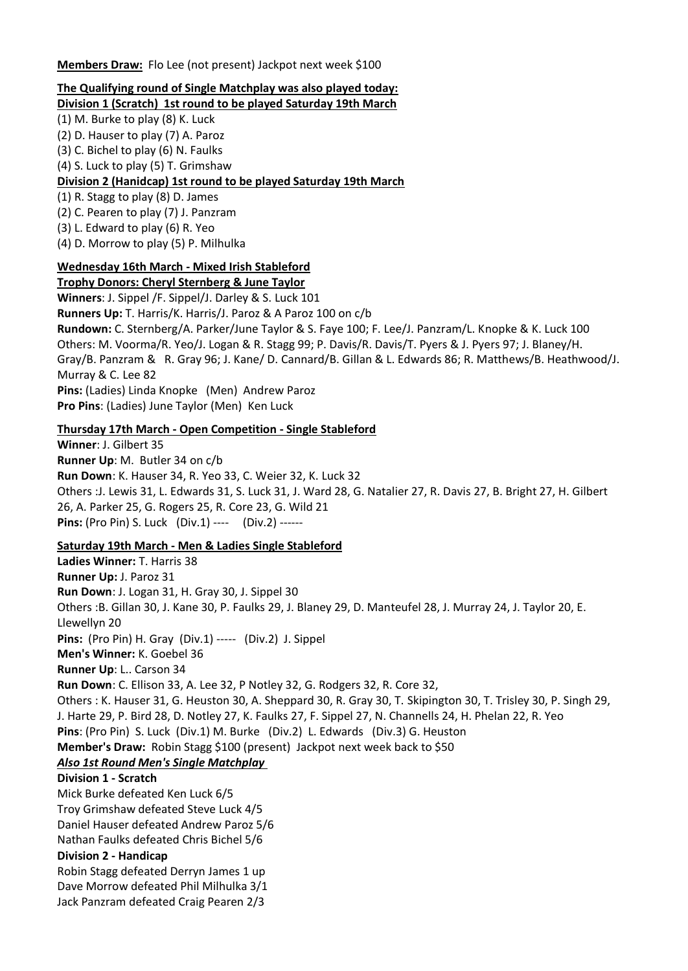**Members Draw:** Flo Lee (not present) Jackpot next week \$100

# **The Qualifying round of Single Matchplay was also played today:**

**Division 1 (Scratch) 1st round to be played Saturday 19th March**

(1) M. Burke to play (8) K. Luck

(2) D. Hauser to play (7) A. Paroz

(3) C. Bichel to play (6) N. Faulks

(4) S. Luck to play (5) T. Grimshaw

# **Division 2 (Hanidcap) 1st round to be played Saturday 19th March**

(1) R. Stagg to play (8) D. James

(2) C. Pearen to play (7) J. Panzram

(3) L. Edward to play (6) R. Yeo

(4) D. Morrow to play (5) P. Milhulka

# **Wednesday 16th March - Mixed Irish Stableford**

**Trophy Donors: Cheryl Sternberg & June Taylor**

**Winners**: J. Sippel /F. Sippel/J. Darley & S. Luck 101 **Runners Up:** T. Harris/K. Harris/J. Paroz & A Paroz 100 on c/b **Rundown:** C. Sternberg/A. Parker/June Taylor & S. Faye 100; F. Lee/J. Panzram/L. Knopke & K. Luck 100 Others: M. Voorma/R. Yeo/J. Logan & R. Stagg 99; P. Davis/R. Davis/T. Pyers & J. Pyers 97; J. Blaney/H. Gray/B. Panzram & R. Gray 96; J. Kane/ D. Cannard/B. Gillan & L. Edwards 86; R. Matthews/B. Heathwood/J. Murray & C. Lee 82 **Pins:** (Ladies) Linda Knopke (Men) Andrew Paroz **Pro Pins**: (Ladies) June Taylor (Men) Ken Luck

# **Thursday 17th March - Open Competition - Single Stableford**

**Winner**: J. Gilbert 35 **Runner Up**: M. Butler 34 on c/b **Run Down**: K. Hauser 34, R. Yeo 33, C. Weier 32, K. Luck 32 Others :J. Lewis 31, L. Edwards 31, S. Luck 31, J. Ward 28, G. Natalier 27, R. Davis 27, B. Bright 27, H. Gilbert 26, A. Parker 25, G. Rogers 25, R. Core 23, G. Wild 21 **Pins:** (Pro Pin) S. Luck (Div.1) ---- (Div.2) ------

# **Saturday 19th March - Men & Ladies Single Stableford**

**Ladies Winner:** T. Harris 38 **Runner Up:** J. Paroz 31 **Run Down**: J. Logan 31, H. Gray 30, J. Sippel 30 Others :B. Gillan 30, J. Kane 30, P. Faulks 29, J. Blaney 29, D. Manteufel 28, J. Murray 24, J. Taylor 20, E. Llewellyn 20 **Pins:** (Pro Pin) H. Gray (Div.1) ----- (Div.2) J. Sippel **Men's Winner:** K. Goebel 36 **Runner Up**: L.. Carson 34 **Run Down**: C. Ellison 33, A. Lee 32, P Notley 32, G. Rodgers 32, R. Core 32, Others : K. Hauser 31, G. Heuston 30, A. Sheppard 30, R. Gray 30, T. Skipington 30, T. Trisley 30, P. Singh 29, J. Harte 29, P. Bird 28, D. Notley 27, K. Faulks 27, F. Sippel 27, N. Channells 24, H. Phelan 22, R. Yeo **Pins**: (Pro Pin) S. Luck (Div.1) M. Burke (Div.2) L. Edwards (Div.3) G. Heuston **Member's Draw:** Robin Stagg \$100 (present) Jackpot next week back to \$50 *Also 1st Round Men's Single Matchplay* **Division 1 - Scratch** Mick Burke defeated Ken Luck 6/5 Troy Grimshaw defeated Steve Luck 4/5

Daniel Hauser defeated Andrew Paroz 5/6 Nathan Faulks defeated Chris Bichel 5/6

# **Division 2 - Handicap**

Robin Stagg defeated Derryn James 1 up Dave Morrow defeated Phil Milhulka 3/1 Jack Panzram defeated Craig Pearen 2/3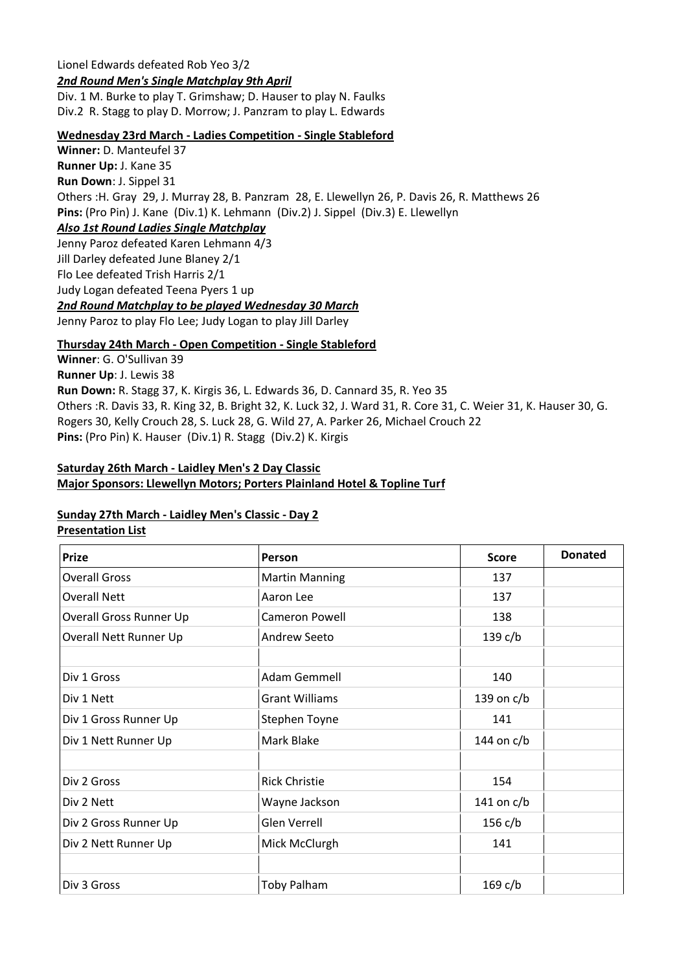### Lionel Edwards defeated Rob Yeo 3/2 *2nd Round Men's Single Matchplay 9th April*

Div. 1 M. Burke to play T. Grimshaw; D. Hauser to play N. Faulks Div.2 R. Stagg to play D. Morrow; J. Panzram to play L. Edwards

#### **Wednesday 23rd March - Ladies Competition - Single Stableford**

**Winner:** D. Manteufel 37 **Runner Up:** J. Kane 35 **Run Down**: J. Sippel 31 Others :H. Gray 29, J. Murray 28, B. Panzram 28, E. Llewellyn 26, P. Davis 26, R. Matthews 26 **Pins:** (Pro Pin) J. Kane (Div.1) K. Lehmann (Div.2) J. Sippel (Div.3) E. Llewellyn *Also 1st Round Ladies Single Matchplay* Jenny Paroz defeated Karen Lehmann 4/3 Jill Darley defeated June Blaney 2/1 Flo Lee defeated Trish Harris 2/1 Judy Logan defeated Teena Pyers 1 up *2nd Round Matchplay to be played Wednesday 30 March*

Jenny Paroz to play Flo Lee; Judy Logan to play Jill Darley

### **Thursday 24th March - Open Competition - Single Stableford**

**Winner**: G. O'Sullivan 39 **Runner Up**: J. Lewis 38 **Run Down:** R. Stagg 37, K. Kirgis 36, L. Edwards 36, D. Cannard 35, R. Yeo 35 Others :R. Davis 33, R. King 32, B. Bright 32, K. Luck 32, J. Ward 31, R. Core 31, C. Weier 31, K. Hauser 30, G. Rogers 30, Kelly Crouch 28, S. Luck 28, G. Wild 27, A. Parker 26, Michael Crouch 22 **Pins:** (Pro Pin) K. Hauser (Div.1) R. Stagg (Div.2) K. Kirgis

### **Saturday 26th March - Laidley Men's 2 Day Classic**

#### **Major Sponsors: Llewellyn Motors; Porters Plainland Hotel & Topline Turf**

#### **Sunday 27th March - Laidley Men's Classic - Day 2**

### **Presentation List**

| <b>Prize</b>                   | Person                | <b>Score</b> | <b>Donated</b> |
|--------------------------------|-----------------------|--------------|----------------|
| <b>Overall Gross</b>           | <b>Martin Manning</b> | 137          |                |
| <b>Overall Nett</b>            | Aaron Lee             | 137          |                |
| <b>Overall Gross Runner Up</b> | Cameron Powell        | 138          |                |
| Overall Nett Runner Up         | Andrew Seeto          | 139 c/b      |                |
| Div 1 Gross                    | <b>Adam Gemmell</b>   | 140          |                |
| Div 1 Nett                     | <b>Grant Williams</b> | 139 on $c/b$ |                |
| Div 1 Gross Runner Up          | Stephen Toyne<br>141  |              |                |
| Div 1 Nett Runner Up           | Mark Blake            | 144 on $c/b$ |                |
| Div 2 Gross                    | <b>Rick Christie</b>  | 154          |                |
| Div 2 Nett                     | Wayne Jackson         | 141 on $c/b$ |                |
| Div 2 Gross Runner Up          | Glen Verrell          | 156 c/b      |                |
| Div 2 Nett Runner Up           | Mick McClurgh         | 141          |                |
| Div 3 Gross                    | <b>Toby Palham</b>    | $169$ c/b    |                |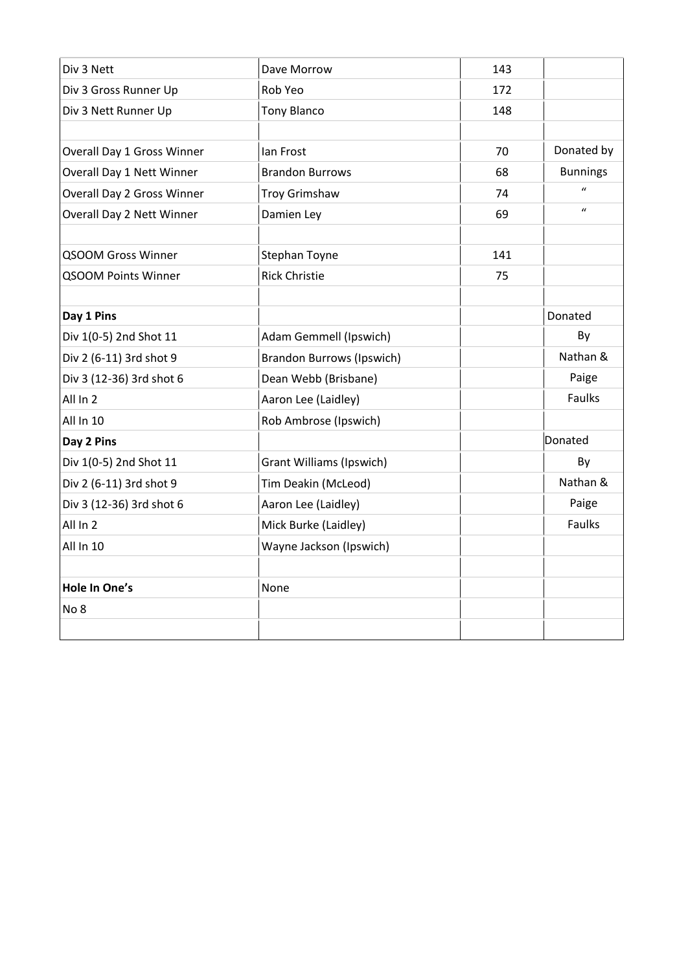| Div 3 Nett                 | Dave Morrow                      | 143 |                  |
|----------------------------|----------------------------------|-----|------------------|
| Div 3 Gross Runner Up      | Rob Yeo                          | 172 |                  |
| Div 3 Nett Runner Up       | <b>Tony Blanco</b>               | 148 |                  |
|                            |                                  |     |                  |
| Overall Day 1 Gross Winner | lan Frost                        | 70  | Donated by       |
| Overall Day 1 Nett Winner  | <b>Brandon Burrows</b>           | 68  | <b>Bunnings</b>  |
| Overall Day 2 Gross Winner | <b>Troy Grimshaw</b>             | 74  | $\boldsymbol{u}$ |
| Overall Day 2 Nett Winner  | Damien Ley                       | 69  | $\mathbf{u}$     |
|                            |                                  |     |                  |
| <b>QSOOM Gross Winner</b>  | Stephan Toyne                    | 141 |                  |
| <b>QSOOM Points Winner</b> | <b>Rick Christie</b>             | 75  |                  |
|                            |                                  |     |                  |
| Day 1 Pins                 |                                  |     | Donated          |
| Div 1(0-5) 2nd Shot 11     | Adam Gemmell (Ipswich)           |     | By               |
| Div 2 (6-11) 3rd shot 9    | <b>Brandon Burrows (Ipswich)</b> |     | Nathan &         |
| Div 3 (12-36) 3rd shot 6   | Dean Webb (Brisbane)             |     | Paige            |
| All In 2                   | Aaron Lee (Laidley)              |     | Faulks           |
| All In 10                  | Rob Ambrose (Ipswich)            |     |                  |
| Day 2 Pins                 |                                  |     | Donated          |
| Div 1(0-5) 2nd Shot 11     | <b>Grant Williams (Ipswich)</b>  |     | By               |
| Div 2 (6-11) 3rd shot 9    | Tim Deakin (McLeod)              |     | Nathan &         |
| Div 3 (12-36) 3rd shot 6   | Aaron Lee (Laidley)              |     | Paige            |
| All In 2                   | Mick Burke (Laidley)             |     | Faulks           |
| All In 10                  | Wayne Jackson (Ipswich)          |     |                  |
|                            |                                  |     |                  |
| Hole In One's              | None                             |     |                  |
| No <sub>8</sub>            |                                  |     |                  |
|                            |                                  |     |                  |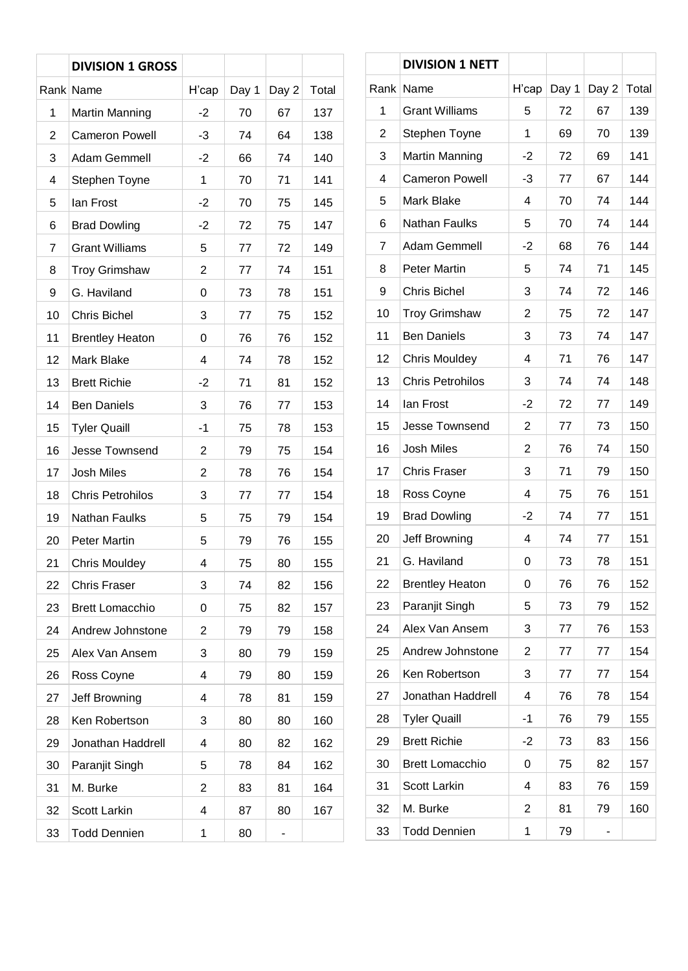|                | <b>DIVISION 1 GROSS</b> |       |       |       |       |
|----------------|-------------------------|-------|-------|-------|-------|
|                | Rank Name               | H'cap | Day 1 | Day 2 | Total |
| 1              | <b>Martin Manning</b>   | -2    | 70    | 67    | 137   |
| $\overline{2}$ | <b>Cameron Powell</b>   | -3    | 74    | 64    | 138   |
| 3              | Adam Gemmell            | $-2$  | 66    | 74    | 140   |
| 4              | Stephen Toyne           | 1     | 70    | 71    | 141   |
| 5              | lan Frost               | -2    | 70    | 75    | 145   |
| 6              | <b>Brad Dowling</b>     | -2    | 72    | 75    | 147   |
| $\overline{7}$ | <b>Grant Williams</b>   | 5     | 77    | 72    | 149   |
| 8              | <b>Troy Grimshaw</b>    | 2     | 77    | 74    | 151   |
| 9              | G. Haviland             | 0     | 73    | 78    | 151   |
| 10             | <b>Chris Bichel</b>     | 3     | 77    | 75    | 152   |
| 11             | <b>Brentley Heaton</b>  | 0     | 76    | 76    | 152   |
| 12             | Mark Blake              | 4     | 74    | 78    | 152   |
| 13             | <b>Brett Richie</b>     | $-2$  | 71    | 81    | 152   |
| 14             | <b>Ben Daniels</b>      | 3     | 76    | 77    | 153   |
| 15             | <b>Tyler Quaill</b>     | $-1$  | 75    | 78    | 153   |
| 16             | <b>Jesse Townsend</b>   | 2     | 79    | 75    | 154   |
| 17             | <b>Josh Miles</b>       | 2     | 78    | 76    | 154   |
| 18             | <b>Chris Petrohilos</b> | 3     | 77    | 77    | 154   |
| 19             | <b>Nathan Faulks</b>    | 5     | 75    | 79    | 154   |
| 20             | <b>Peter Martin</b>     | 5     | 79    | 76    | 155   |
| 21             | <b>Chris Mouldey</b>    | 4     | 75    | 80    | 155   |
| 22             | <b>Chris Fraser</b>     | 3     | 74    | 82    | 156   |
| 23             | <b>Brett Lomacchio</b>  | 0     | 75    | 82    | 157   |
| 24             | Andrew Johnstone        | 2     | 79    | 79    | 158   |
| 25             | Alex Van Ansem          | 3     | 80    | 79    | 159   |
| 26             | Ross Coyne              | 4     | 79    | 80    | 159   |
| 27             | Jeff Browning           | 4     | 78    | 81    | 159   |
| 28             | Ken Robertson           | 3     | 80    | 80    | 160   |
| 29             | Jonathan Haddrell       | 4     | 80    | 82    | 162   |
| 30             | Paranjit Singh          | 5     | 78    | 84    | 162   |
| 31             | M. Burke                | 2     | 83    | 81    | 164   |
| 32             | Scott Larkin            | 4     | 87    | 80    | 167   |
| 33             | <b>Todd Dennien</b>     | 1     | 80    |       |       |

|    | <b>DIVISION 1 NETT</b>  |                |       |       |       |
|----|-------------------------|----------------|-------|-------|-------|
|    | Rank Name               | H'cap          | Day 1 | Day 2 | Total |
| 1  | <b>Grant Williams</b>   | 5              | 72    | 67    | 139   |
| 2  | Stephen Toyne           | 1              | 69    | 70    | 139   |
| 3  | <b>Martin Manning</b>   | $-2$           | 72    | 69    | 141   |
| 4  | <b>Cameron Powell</b>   | $-3$           | 77    | 67    | 144   |
| 5  | <b>Mark Blake</b>       | 4              | 70    | 74    | 144   |
| 6  | <b>Nathan Faulks</b>    | 5              | 70    | 74    | 144   |
| 7  | Adam Gemmell            | $-2$           | 68    | 76    | 144   |
| 8  | <b>Peter Martin</b>     | 5              | 74    | 71    | 145   |
| 9  | <b>Chris Bichel</b>     | 3              | 74    | 72    | 146   |
| 10 | <b>Troy Grimshaw</b>    | $\overline{2}$ | 75    | 72    | 147   |
| 11 | <b>Ben Daniels</b>      | 3              | 73    | 74    | 147   |
| 12 | <b>Chris Mouldey</b>    | 4              | 71    | 76    | 147   |
| 13 | <b>Chris Petrohilos</b> | 3              | 74    | 74    | 148   |
| 14 | lan Frost               | $-2$           | 72    | 77    | 149   |
| 15 | <b>Jesse Townsend</b>   | 2              | 77    | 73    | 150   |
| 16 | <b>Josh Miles</b>       | 2              | 76    | 74    | 150   |
| 17 | <b>Chris Fraser</b>     | 3              | 71    | 79    | 150   |
| 18 | Ross Coyne              | 4              | 75    | 76    | 151   |
| 19 | <b>Brad Dowling</b>     | $-2$           | 74    | 77    | 151   |
| 20 | Jeff Browning           | 4              | 74    | 77    | 151   |
| 21 | G. Haviland             | 0              | 73    | 78    | 151   |
| 22 | <b>Brentley Heaton</b>  | 0              | 76    | 76    | 152   |
| 23 | Paranjit Singh          | 5              | 73    | 79    | 152   |
| 24 | Alex Van Ansem          | 3              | 77    | 76    | 153   |
| 25 | Andrew Johnstone        | 2              | 77    | 77    | 154   |
| 26 | Ken Robertson           | 3              | 77    | 77    | 154   |
| 27 | Jonathan Haddrell       | 4              | 76    | 78    | 154   |
| 28 | <b>Tyler Quaill</b>     | $-1$           | 76    | 79    | 155   |
| 29 | <b>Brett Richie</b>     | $-2$           | 73    | 83    | 156   |
| 30 | <b>Brett Lomacchio</b>  | 0              | 75    | 82    | 157   |
| 31 | Scott Larkin            | 4              | 83    | 76    | 159   |
| 32 | M. Burke                | 2              | 81    | 79    | 160   |
| 33 | <b>Todd Dennien</b>     | 1              | 79    |       |       |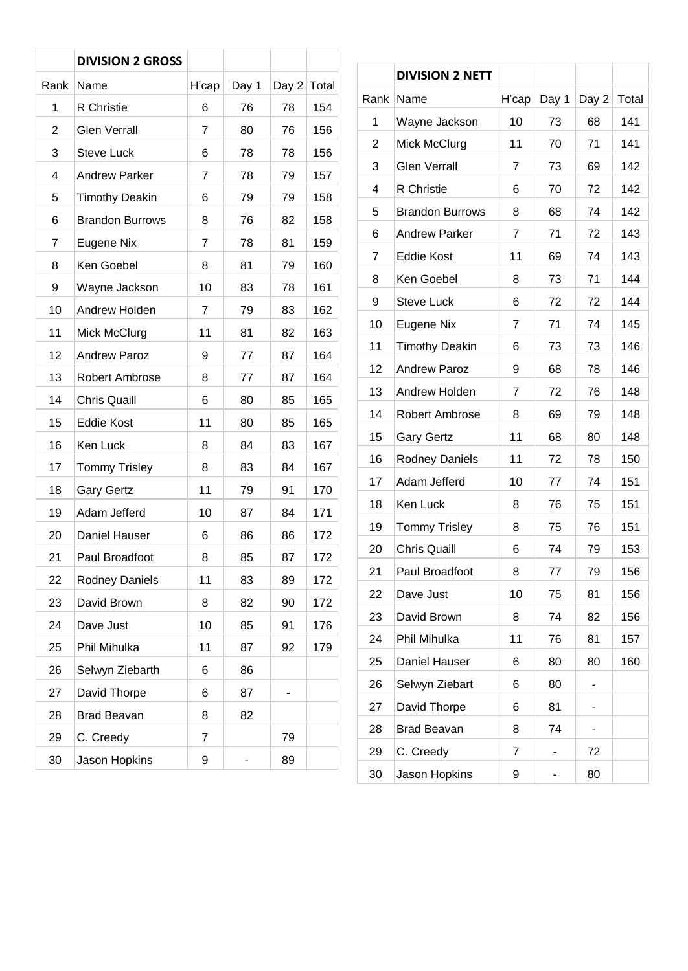|      | <b>DIVISION 2 GROSS</b> |                |       |       |       |
|------|-------------------------|----------------|-------|-------|-------|
| Rank | Name                    | H'cap          | Day 1 | Day 2 | Total |
| 1    | R Christie              | 6              | 76    | 78    | 154   |
| 2    | <b>Glen Verrall</b>     | 7              | 80    | 76    | 156   |
| 3    | <b>Steve Luck</b>       | 6              | 78    | 78    | 156   |
| 4    | <b>Andrew Parker</b>    | 7              | 78    | 79    | 157   |
| 5    | <b>Timothy Deakin</b>   | 6              | 79    | 79    | 158   |
| 6    | <b>Brandon Burrows</b>  | 8              | 76    | 82    | 158   |
| 7    | Eugene Nix              | $\overline{7}$ | 78    | 81    | 159   |
| 8    | Ken Goebel              | 8              | 81    | 79    | 160   |
| 9    | Wayne Jackson           | 10             | 83    | 78    | 161   |
| 10   | Andrew Holden           | 7              | 79    | 83    | 162   |
| 11   | Mick McClurg            | 11             | 81    | 82    | 163   |
| 12   | <b>Andrew Paroz</b>     | 9              | 77    | 87    | 164   |
| 13   | Robert Ambrose          | 8              | 77    | 87    | 164   |
| 14   | <b>Chris Quaill</b>     | 6              | 80    | 85    | 165   |
| 15   | <b>Eddie Kost</b>       | 11             | 80    | 85    | 165   |
| 16   | Ken Luck                | 8              | 84    | 83    | 167   |
| 17   | <b>Tommy Trisley</b>    | 8              | 83    | 84    | 167   |
| 18   | <b>Gary Gertz</b>       | 11             | 79    | 91    | 170   |
| 19   | Adam Jefferd            | 10             | 87    | 84    | 171   |
| 20   | Daniel Hauser           | 6              | 86    | 86    | 172   |
| 21   | Paul Broadfoot          | 8              | 85    | 87    | 172   |
| 22   | <b>Rodney Daniels</b>   | 11             | 83    | 89    | 172   |
| 23   | David Brown             | 8              | 82    | 90    | 172   |
| 24   | Dave Just               | 10             | 85    | 91    | 176   |
| 25   | Phil Mihulka            | 11             | 87    | 92    | 179   |
| 26   | Selwyn Ziebarth         | 6              | 86    |       |       |
| 27   | David Thorpe            | 6              | 87    |       |       |
| 28   | <b>Brad Beavan</b>      | 8              | 82    |       |       |
| 29   | C. Creedy               | 7              |       | 79    |       |
| 30   | Jason Hopkins           | 9              |       | 89    |       |

|      | <b>DIVISION 2 NETT</b> |       |       |       |       |
|------|------------------------|-------|-------|-------|-------|
| Rank | Name                   | H'cap | Day 1 | Day 2 | Total |
| 1    | Wayne Jackson          | 10    | 73    | 68    | 141   |
| 2    | Mick McClurg           | 11    | 70    | 71    | 141   |
| 3    | <b>Glen Verrall</b>    | 7     | 73    | 69    | 142   |
| 4    | R Christie             | 6     | 70    | 72    | 142   |
| 5    | <b>Brandon Burrows</b> | 8     | 68    | 74    | 142   |
| 6    | <b>Andrew Parker</b>   | 7     | 71    | 72    | 143   |
| 7    | <b>Eddie Kost</b>      | 11    | 69    | 74    | 143   |
| 8    | Ken Goebel             | 8     | 73    | 71    | 144   |
| 9    | <b>Steve Luck</b>      | 6     | 72    | 72    | 144   |
| 10   | Eugene Nix             | 7     | 71    | 74    | 145   |
| 11   | <b>Timothy Deakin</b>  | 6     | 73    | 73    | 146   |
| 12   | <b>Andrew Paroz</b>    | 9     | 68    | 78    | 146   |
| 13   | Andrew Holden          | 7     | 72    | 76    | 148   |
| 14   | Robert Ambrose         | 8     | 69    | 79    | 148   |
| 15   | <b>Gary Gertz</b>      | 11    | 68    | 80    | 148   |
| 16   | <b>Rodney Daniels</b>  | 11    | 72    | 78    | 150   |
| 17   | Adam Jefferd           | 10    | 77    | 74    | 151   |
| 18   | Ken Luck               | 8     | 76    | 75    | 151   |
| 19   | <b>Tommy Trisley</b>   | 8     | 75    | 76    | 151   |
| 20   | <b>Chris Quaill</b>    | 6     | 74    | 79    | 153   |
| 21   | Paul Broadfoot         | 8     | 77    | 79    | 156   |
| 22   | Dave Just              | 10    | 75    | 81    | 156   |
| 23   | David Brown            | 8     | 74    | 82    | 156   |
| 24   | Phil Mihulka           | 11    | 76    | 81    | 157   |
| 25   | Daniel Hauser          | 6     | 80    | 80    | 160   |
| 26   | Selwyn Ziebart         | 6     | 80    |       |       |
| 27   | David Thorpe           | 6     | 81    |       |       |
| 28   | <b>Brad Beavan</b>     | 8     | 74    |       |       |
| 29   | C. Creedy              | 7     |       | 72    |       |
| 30   | Jason Hopkins          | 9     |       | 80    |       |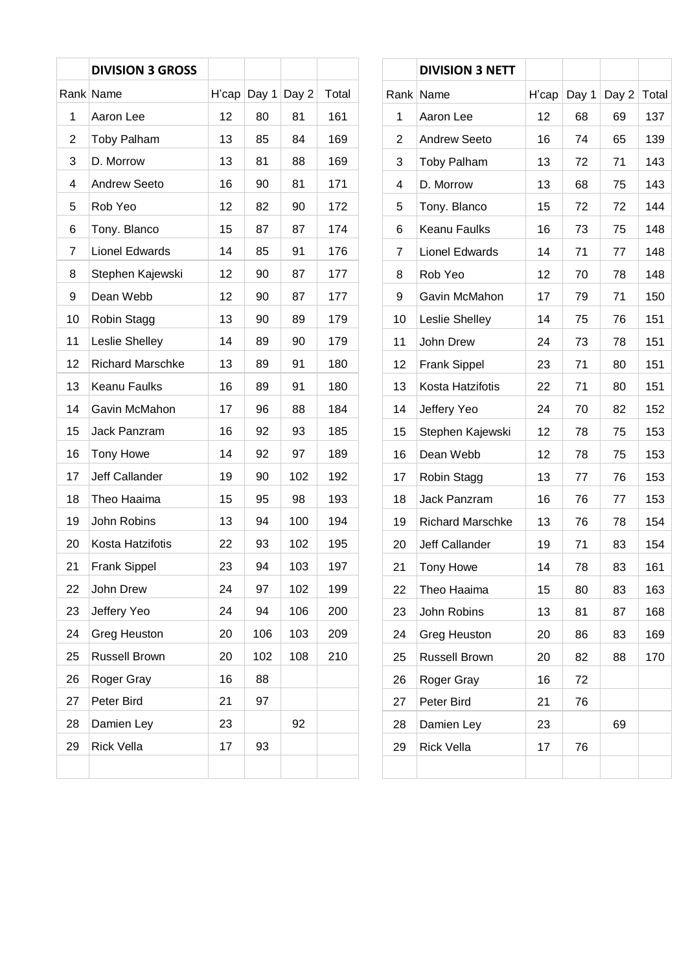|    | <b>DIVISION 3 GROSS</b> |       |       |       |       |
|----|-------------------------|-------|-------|-------|-------|
|    | Rank Name               | H'cap | Day 1 | Day 2 | Total |
| 1  | Aaron Lee               | 12    | 80    | 81    | 161   |
| 2  | <b>Toby Palham</b>      | 13    | 85    | 84    | 169   |
| 3  | D. Morrow               | 13    | 81    | 88    | 169   |
| 4  | <b>Andrew Seeto</b>     | 16    | 90    | 81    | 171   |
| 5  | Rob Yeo                 | 12    | 82    | 90    | 172   |
| 6  | Tony. Blanco            | 15    | 87    | 87    | 174   |
| 7  | <b>Lionel Edwards</b>   | 14    | 85    | 91    | 176   |
| 8  | Stephen Kajewski        | 12    | 90    | 87    | 177   |
| 9  | Dean Webb               | 12    | 90    | 87    | 177   |
| 10 | Robin Stagg             | 13    | 90    | 89    | 179   |
| 11 | Leslie Shelley          | 14    | 89    | 90    | 179   |
| 12 | <b>Richard Marschke</b> | 13    | 89    | 91    | 180   |
| 13 | <b>Keanu Faulks</b>     | 16    | 89    | 91    | 180   |
| 14 | Gavin McMahon           | 17    | 96    | 88    | 184   |
| 15 | Jack Panzram            | 16    | 92    | 93    | 185   |
| 16 | <b>Tony Howe</b>        | 14    | 92    | 97    | 189   |
| 17 | Jeff Callander          | 19    | 90    | 102   | 192   |
| 18 | Theo Haaima             | 15    | 95    | 98    | 193   |
| 19 | John Robins             | 13    | 94    | 100   | 194   |
| 20 | Kosta Hatzifotis        | 22    | 93    | 102   | 195   |
| 21 | <b>Frank Sippel</b>     | 23    | 94    | 103   | 197   |
| 22 | John Drew               | 24    | 97    | 102   | 199   |
| 23 | Jeffery Yeo             | 24    | 94    | 106   | 200   |
| 24 | Greg Heuston            | 20    | 106   | 103   | 209   |
| 25 | <b>Russell Brown</b>    | 20    | 102   | 108   | 210   |
| 26 | Roger Gray              | 16    | 88    |       |       |
| 27 | Peter Bird              | 21    | 97    |       |       |
| 28 | Damien Ley              | 23    |       | 92    |       |
| 29 | <b>Rick Vella</b>       | 17    | 93    |       |       |
|    |                         |       |       |       |       |

|    | <b>DIVISION 3 NETT</b>  |       |       |       |       |
|----|-------------------------|-------|-------|-------|-------|
|    | Rank Name               | H'cap | Day 1 | Day 2 | Total |
| 1  | Aaron Lee               | 12    | 68    | 69    | 137   |
| 2  | <b>Andrew Seeto</b>     | 16    | 74    | 65    | 139   |
| 3  | <b>Toby Palham</b>      | 13    | 72    | 71    | 143   |
| 4  | D. Morrow               | 13    | 68    | 75    | 143   |
| 5  | Tony. Blanco            | 15    | 72    | 72    | 144   |
| 6  | Keanu Faulks            | 16    | 73    | 75    | 148   |
| 7  | <b>Lionel Edwards</b>   | 14    | 71    | 77    | 148   |
| 8  | Rob Yeo                 | 12    | 70    | 78    | 148   |
| 9  | Gavin McMahon           | 17    | 79    | 71    | 150   |
| 10 | Leslie Shelley          | 14    | 75    | 76    | 151   |
| 11 | John Drew               | 24    | 73    | 78    | 151   |
| 12 | <b>Frank Sippel</b>     | 23    | 71    | 80    | 151   |
| 13 | Kosta Hatzifotis        | 22    | 71    | 80    | 151   |
| 14 | Jeffery Yeo             | 24    | 70    | 82    | 152   |
| 15 | Stephen Kajewski        | 12    | 78    | 75    | 153   |
| 16 | Dean Webb               | 12    | 78    | 75    | 153   |
| 17 | Robin Stagg             | 13    | 77    | 76    | 153   |
| 18 | Jack Panzram            | 16    | 76    | 77    | 153   |
| 19 | <b>Richard Marschke</b> | 13    | 76    | 78    | 154   |
| 20 | Jeff Callander          | 19    | 71    | 83    | 154   |
| 21 | <b>Tony Howe</b>        | 14    | 78    | 83    | 161   |
| 22 | Theo Haaima             | 15    | 80    | 83    | 163   |
| 23 | John Robins             | 13    | 81    | 87    | 168   |
| 24 | Greg Heuston            | 20    | 86    | 83    | 169   |
| 25 | <b>Russell Brown</b>    | 20    | 82    | 88    | 170   |
| 26 | Roger Gray              | 16    | 72    |       |       |
| 27 | Peter Bird              | 21    | 76    |       |       |
| 28 | Damien Ley              | 23    |       | 69    |       |
| 29 | <b>Rick Vella</b>       | 17    | 76    |       |       |
|    |                         |       |       |       |       |